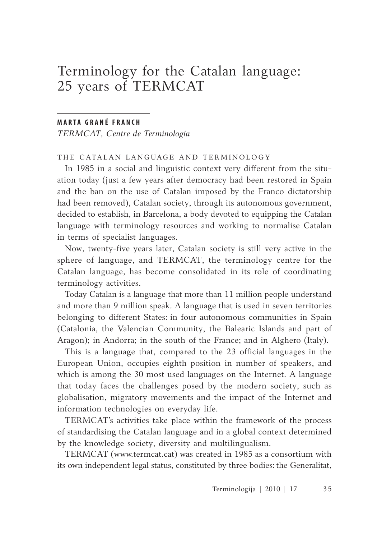# Terminology for the Catalan language: 25 years of TERMCAT

#### **M A R TA G R A N É F R A N C H**

*TERMCAT, Centre de Terminologia*

THE CATALAN LANGUAGE AND TERMINOLOGY

In 1985 in a social and linguistic context very different from the situation today (just a few years after democracy had been restored in Spain and the ban on the use of Catalan imposed by the Franco dictatorship had been removed), Catalan society, through its autonomous government, decided to establish, in Barcelona, a body devoted to equipping the Catalan language with terminology resources and working to normalise Catalan in terms of specialist languages.

Now, twenty-five years later, Catalan society is still very active in the sphere of language, and TERMCAT, the terminology centre for the Catalan language, has become consolidated in its role of coordinating terminology activities.

Today Catalan is a language that more than 11 million people understand and more than 9 million speak. A language that is used in seven territories belonging to different States: in four autonomous communities in Spain (Catalonia, the Valencian Community, the Balearic Islands and part of Aragon); in Andorra; in the south of the France; and in Alghero (Italy).

This is a language that, compared to the 23 official languages in the European Union, occupies eighth position in number of speakers, and which is among the 30 most used languages on the Internet. A language that today faces the challenges posed by the modern society, such as globalisation, migratory movements and the impact of the Internet and information technologies on everyday life.

TERMCAT's activities take place within the framework of the process of standardising the Catalan language and in a global context determined by the knowledge society, diversity and multilingualism.

TERMCAT (www.termcat.cat) was created in 1985 as a consortium with its own independent legal status, constituted by three bodies: the Generalitat,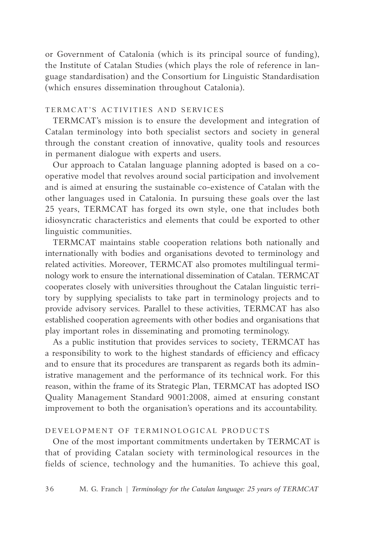or Government of Catalonia (which is its principal source of funding), the Institute of Catalan Studies (which plays the role of reference in language standardisation) and the Consortium for Linguistic Standardisation (which ensures dissemination throughout Catalonia).

#### TERMCAT'S ACTIVITIES AND SERVICES

TERMCAT's mission is to ensure the development and integration of Catalan terminology into both specialist sectors and society in general through the constant creation of innovative, quality tools and resources in permanent dialogue with experts and users.

Our approach to Catalan language planning adopted is based on a cooperative model that revolves around social participation and involvement and is aimed at ensuring the sustainable co-existence of Catalan with the other languages used in Catalonia. In pursuing these goals over the last 25 years, TERMCAT has forged its own style, one that includes both idiosyncratic characteristics and elements that could be exported to other linguistic communities.

TERMCAT maintains stable cooperation relations both nationally and internationally with bodies and organisations devoted to terminology and related activities. Moreover, TERMCAT also promotes multilingual terminology work to ensure the international dissemination of Catalan. TERMCAT cooperates closely with universities throughout the Catalan linguistic territory by supplying specialists to take part in terminology projects and to provide advisory services. Parallel to these activities, TERMCAT has also established cooperation agreements with other bodies and organisations that play important roles in disseminating and promoting terminology.

As a public institution that provides services to society, TERMCAT has a responsibility to work to the highest standards of efficiency and efficacy and to ensure that its procedures are transparent as regards both its administrative management and the performance of its technical work. For this reason, within the frame of its Strategic Plan, TERMCAT has adopted ISO Quality Management Standard 9001:2008, aimed at ensuring constant improvement to both the organisation's operations and its accountability.

## DEVELOPMENT OF TERMINOLOGICAL PRODUCTS

One of the most important commitments undertaken by TERMCAT is that of providing Catalan society with terminological resources in the fields of science, technology and the humanities. To achieve this goal,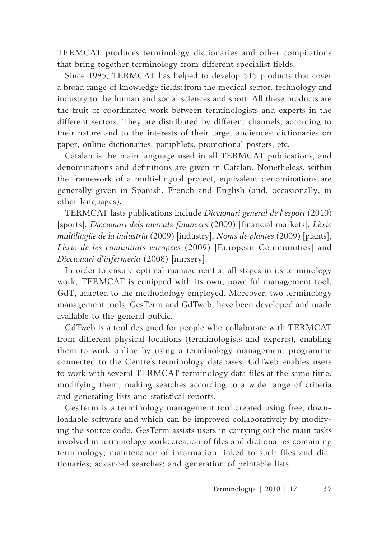TERMCAT produces terminology dictionaries and other compilations that bring together terminology from different specialist fields.

Since 1985, TERMCAT has helped to develop 515 products that cover a broad range of knowledge fields: from the medical sector, technology and industry to the human and social sciences and sport. All these products are the fruit of coordinated work between terminologists and experts in the different sectors. They are distributed by different channels, according to their nature and to the interests of their target audiences: dictionaries on paper, online dictionaries, pamphlets, promotional posters, etc.

Catalan is the main language used in all TERMCAT publications, and denominations and definitions are given in Catalan. Nonetheless, within the framework of a multi-lingual project, equivalent denominations are generally given in Spanish, French and English (and, occasionally, in other languages).

TERMCAT lasts publications include *Diccionari general de l'esport* (2010) [sports], *Diccionari dels mercats financers* (2009) [financial markets], *Lèxic multilingüe de la indústria* (2009) [industry], *Noms de plantes* (2009) [plants], *Lèxic de les comunitats europees* (2009) [European Communities] and *Diccionari d'infermeria* (2008) [nursery].

In order to ensure optimal management at all stages in its terminology work, TERMCAT is equipped with its own, powerful management tool, GdT, adapted to the methodology employed. Moreover, two terminology management tools, GesTerm and GdTweb, have been developed and made available to the general public.

GdTweb is a tool designed for people who collaborate with TERMCAT from different physical locations (terminologists and experts), enabling them to work online by using a terminology management programme connected to the Centre's terminology databases. GdTweb enables users to work with several TERMCAT terminology data files at the same time, modifying them, making searches according to a wide range of criteria and generating lists and statistical reports.

GesTerm is a terminology management tool created using free, downloadable software and which can be improved collaboratively by modifying the source code. GesTerm assists users in carrying out the main tasks involved in terminology work: creation of files and dictionaries containing terminology; maintenance of information linked to such files and dictionaries; advanced searches; and generation of printable lists.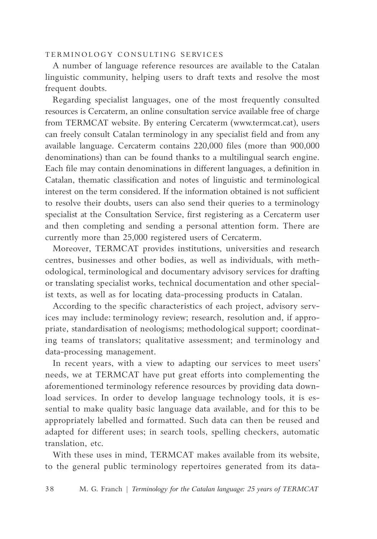#### TERMINOLOGY CONSULTING SERVICES

A number of language reference resources are available to the Catalan linguistic community, helping users to draft texts and resolve the most frequent doubts.

Regarding specialist languages, one of the most frequently consulted resources is Cercaterm, an online consultation service available free of charge from TERMCAT website. By entering Cercaterm (www.termcat.cat), users can freely consult Catalan terminology in any specialist field and from any available language. Cercaterm contains 220,000 files (more than 900,000 denominations) than can be found thanks to a multilingual search engine. Each file may contain denominations in different languages, a definition in Catalan, thematic classification and notes of linguistic and terminological interest on the term considered. If the information obtained is not sufficient to resolve their doubts, users can also send their queries to a terminology specialist at the Consultation Service, first registering as a Cercaterm user and then completing and sending a personal attention form. There are currently more than 25,000 registered users of Cercaterm.

Moreover, TERMCAT provides institutions, universities and research centres, businesses and other bodies, as well as individuals, with methodological, terminological and documentary advisory services for drafting or translating specialist works, technical documentation and other specialist texts, as well as for locating data-processing products in Catalan.

According to the specific characteristics of each project, advisory services may include: terminology review; research, resolution and, if appropriate, standardisation of neologisms; methodological support; coordinating teams of translators; qualitative assessment; and terminology and data-processing management.

In recent years, with a view to adapting our services to meet users' needs, we at TERMCAT have put great efforts into complementing the aforementioned terminology reference resources by providing data download services. In order to develop language technology tools, it is essential to make quality basic language data available, and for this to be appropriately labelled and formatted. Such data can then be reused and adapted for different uses; in search tools, spelling checkers, automatic translation, etc.

With these uses in mind, TERMCAT makes available from its website, to the general public terminology repertoires generated from its data-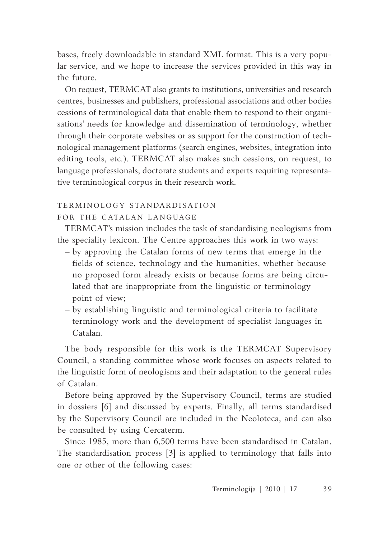bases, freely downloadable in standard XML format. This is a very popular service, and we hope to increase the services provided in this way in the future.

On request, TERMCAT also grants to institutions, universities and research centres, businesses and publishers, professional associations and other bodies cessions of terminological data that enable them to respond to their organisations' needs for knowledge and dissemination of terminology, whether through their corporate websites or as support for the construction of technological management platforms (search engines, websites, integration into editing tools, etc.). TERMCAT also makes such cessions, on request, to language professionals, doctorate students and experts requiring representative terminological corpus in their research work.

# TERMINOLOGY STANDARDISATION

## FOR THE CATALAN LANGUAGE

TERMCAT's mission includes the task of standardising neologisms from the speciality lexicon. The Centre approaches this work in two ways:

- by approving the Catalan forms of new terms that emerge in the fields of science, technology and the humanities, whether because no proposed form already exists or because forms are being circulated that are inappropriate from the linguistic or terminology point of view;
- by establishing linguistic and terminological criteria to facilitate terminology work and the development of specialist languages in Catalan.

The body responsible for this work is the TERMCAT Supervisory Council, a standing committee whose work focuses on aspects related to the linguistic form of neologisms and their adaptation to the general rules of Catalan.

Before being approved by the Supervisory Council, terms are studied in dossiers [6] and discussed by experts. Finally, all terms standardised by the Supervisory Council are included in the Neoloteca, and can also be consulted by using Cercaterm.

Since 1985, more than 6,500 terms have been standardised in Catalan. The standardisation process [3] is applied to terminology that falls into one or other of the following cases: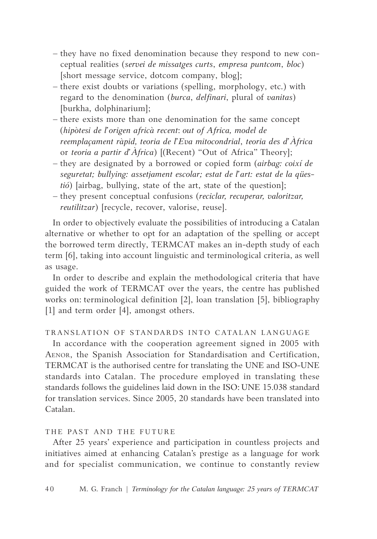- they have no fixed denomination because they respond to new conceptual realities (*servei de missatges curts*, *empresa puntcom*, *bloc*) [short message service, dotcom company, blog];
- there exist doubts or variations (spelling, morphology, etc.) with regard to the denomination (*burca*, *delfinari*, plural of *vanitas*) [burkha, dolphinarium];
- there exists more than one denomination for the same concept (*hipòtesi de l'origen africà recent*: *out of Africa, model de reemplaçament ràpid, teoria de l'Eva mitocondrial*, *teoria des d'Àfrica* or *teoria a partir d'Àfrica*) [(Recent) "Out of Africa" Theory];
- they are designated by a borrowed or copied form (*airbag: coixí de seguretat; bullying: assetjament escolar; estat de l'art: estat de la qüestió*) [airbag, bullying, state of the art, state of the question];
- they present conceptual confusions (*reciclar, recuperar, valoritzar, reutilitzar*) [recycle, recover, valorise, reuse].

In order to objectively evaluate the possibilities of introducing a Catalan alternative or whether to opt for an adaptation of the spelling or accept the borrowed term directly, TERMCAT makes an in-depth study of each term [6], taking into account linguistic and terminological criteria, as well as usage.

In order to describe and explain the methodological criteria that have guided the work of TERMCAT over the years, the centre has published works on: terminological definition [2], loan translation [5], bibliography [1] and term order [4], amongst others.

## TRANSLATION OF STANDARDS INTO CATALAN LANGUAGE

In accordance with the cooperation agreement signed in 2005 with Aenor, the Spanish Association for Standardisation and Certification, TERMCAT is the authorised centre for translating the UNE and ISO-UNE standards into Catalan. The procedure employed in translating these standards follows the guidelines laid down in the ISO: UNE 15.038 standard for translation services. Since 2005, 20 standards have been translated into Catalan.

#### THE PAST AND THE FUTURE

After 25 years' experience and participation in countless projects and initiatives aimed at enhancing Catalan's prestige as a language for work and for specialist communication, we continue to constantly review